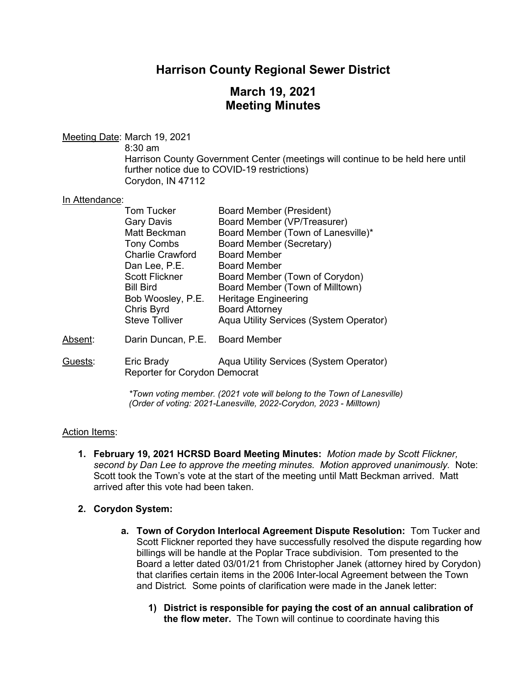# **Harrison County Regional Sewer District**

# **March 19, 2021 Meeting Minutes**

## Meeting Date: March 19, 2021

8:30 am Harrison County Government Center (meetings will continue to be held here until further notice due to COVID-19 restrictions) Corydon, IN 47112

#### In Attendance:

|         | Tom Tucker              | <b>Board Member (President)</b>         |
|---------|-------------------------|-----------------------------------------|
|         | <b>Gary Davis</b>       | Board Member (VP/Treasurer)             |
|         | Matt Beckman            | Board Member (Town of Lanesville)*      |
|         | <b>Tony Combs</b>       | <b>Board Member (Secretary)</b>         |
|         | <b>Charlie Crawford</b> | <b>Board Member</b>                     |
|         | Dan Lee, P.E.           | <b>Board Member</b>                     |
|         | <b>Scott Flickner</b>   | Board Member (Town of Corydon)          |
|         | <b>Bill Bird</b>        | Board Member (Town of Milltown)         |
|         | Bob Woosley, P.E.       | <b>Heritage Engineering</b>             |
|         | Chris Byrd              | <b>Board Attorney</b>                   |
|         | <b>Steve Tolliver</b>   | Aqua Utility Services (System Operator) |
| Absent: | Darin Duncan, P.E.      | <b>Board Member</b>                     |
|         |                         |                                         |

Guests: Eric Brady Aqua Utility Services (System Operator) Reporter for Corydon Democrat

> *\*Town voting member. (2021 vote will belong to the Town of Lanesville) (Order of voting: 2021-Lanesville, 2022-Corydon, 2023 - Milltown)*

#### Action Items:

**1. February 19, 2021 HCRSD Board Meeting Minutes:** *Motion made by Scott Flickner, second by Dan Lee to approve the meeting minutes. Motion approved unanimously.* Note: Scott took the Town's vote at the start of the meeting until Matt Beckman arrived. Matt arrived after this vote had been taken.

#### **2. Corydon System:**

- **a. Town of Corydon Interlocal Agreement Dispute Resolution:** Tom Tucker and Scott Flickner reported they have successfully resolved the dispute regarding how billings will be handle at the Poplar Trace subdivision. Tom presented to the Board a letter dated 03/01/21 from Christopher Janek (attorney hired by Corydon) that clarifies certain items in the 2006 Inter-local Agreement between the Town and District*.* Some points of clarification were made in the Janek letter:
	- **1) District is responsible for paying the cost of an annual calibration of the flow meter.**The Town will continue to coordinate having this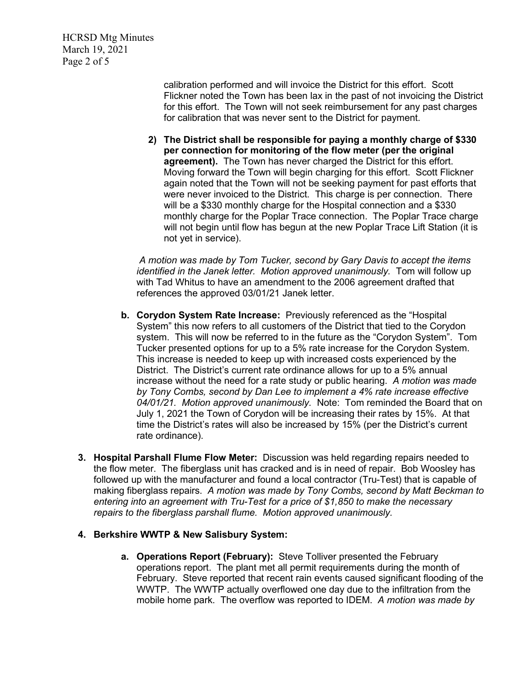HCRSD Mtg Minutes March 19, 2021 Page 2 of 5

> calibration performed and will invoice the District for this effort. Scott Flickner noted the Town has been lax in the past of not invoicing the District for this effort. The Town will not seek reimbursement for any past charges for calibration that was never sent to the District for payment.

**2) The District shall be responsible for paying a monthly charge of \$330 per connection for monitoring of the flow meter (per the original agreement).**The Town has never charged the District for this effort. Moving forward the Town will begin charging for this effort. Scott Flickner again noted that the Town will not be seeking payment for past efforts that were never invoiced to the District. This charge is per connection. There will be a \$330 monthly charge for the Hospital connection and a \$330 monthly charge for the Poplar Trace connection. The Poplar Trace charge will not begin until flow has begun at the new Poplar Trace Lift Station (it is not yet in service).

*A motion was made by Tom Tucker, second by Gary Davis to accept the items identified in the Janek letter. Motion approved unanimously.* Tom will follow up with Tad Whitus to have an amendment to the 2006 agreement drafted that references the approved 03/01/21 Janek letter.

- **b. Corydon System Rate Increase:** Previously referenced as the "Hospital System" this now refers to all customers of the District that tied to the Corydon system. This will now be referred to in the future as the "Corydon System". Tom Tucker presented options for up to a 5% rate increase for the Corydon System. This increase is needed to keep up with increased costs experienced by the District. The District's current rate ordinance allows for up to a 5% annual increase without the need for a rate study or public hearing. *A motion was made by Tony Combs, second by Dan Lee to implement a 4% rate increase effective 04/01/21. Motion approved unanimously.* Note: Tom reminded the Board that on July 1, 2021 the Town of Corydon will be increasing their rates by 15%. At that time the District's rates will also be increased by 15% (per the District's current rate ordinance).
- **3. Hospital Parshall Flume Flow Meter:** Discussion was held regarding repairs needed to the flow meter. The fiberglass unit has cracked and is in need of repair. Bob Woosley has followed up with the manufacturer and found a local contractor (Tru-Test) that is capable of making fiberglass repairs. *A motion was made by Tony Combs, second by Matt Beckman to entering into an agreement with Tru-Test for a price of \$1,850 to make the necessary repairs to the fiberglass parshall flume. Motion approved unanimously.*

## **4. Berkshire WWTP & New Salisbury System:**

**a. Operations Report (February):** Steve Tolliver presented the February operations report. The plant met all permit requirements during the month of February. Steve reported that recent rain events caused significant flooding of the WWTP. The WWTP actually overflowed one day due to the infiltration from the mobile home park. The overflow was reported to IDEM. *A motion was made by*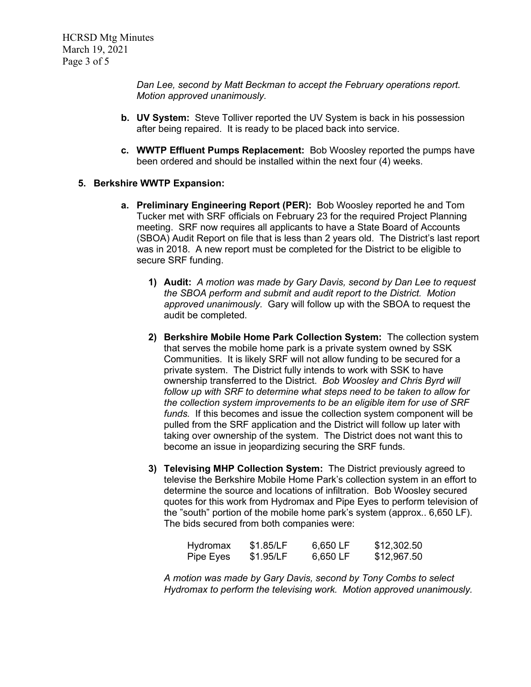*Dan Lee, second by Matt Beckman to accept the February operations report. Motion approved unanimously.*

- **b. UV System:** Steve Tolliver reported the UV System is back in his possession after being repaired. It is ready to be placed back into service.
- **c. WWTP Effluent Pumps Replacement:** Bob Woosley reported the pumps have been ordered and should be installed within the next four (4) weeks.

### **5. Berkshire WWTP Expansion:**

- **a. Preliminary Engineering Report (PER):** Bob Woosley reported he and Tom Tucker met with SRF officials on February 23 for the required Project Planning meeting. SRF now requires all applicants to have a State Board of Accounts (SBOA) Audit Report on file that is less than 2 years old. The District's last report was in 2018. A new report must be completed for the District to be eligible to secure SRF funding.
	- **1) Audit:** *A motion was made by Gary Davis, second by Dan Lee to request the SBOA perform and submit and audit report to the District. Motion approved unanimously.* Gary will follow up with the SBOA to request the audit be completed.
	- **2) Berkshire Mobile Home Park Collection System:** The collection system that serves the mobile home park is a private system owned by SSK Communities. It is likely SRF will not allow funding to be secured for a private system. The District fully intends to work with SSK to have ownership transferred to the District. *Bob Woosley and Chris Byrd will follow up with SRF to determine what steps need to be taken to allow for the collection system improvements to be an eligible item for use of SRF funds.* If this becomes and issue the collection system component will be pulled from the SRF application and the District will follow up later with taking over ownership of the system. The District does not want this to become an issue in jeopardizing securing the SRF funds.
	- **3) Televising MHP Collection System:** The District previously agreed to televise the Berkshire Mobile Home Park's collection system in an effort to determine the source and locations of infiltration. Bob Woosley secured quotes for this work from Hydromax and Pipe Eyes to perform television of the "south" portion of the mobile home park's system (approx.. 6,650 LF). The bids secured from both companies were:

| Hydromax  | \$1.85/LF | 6,650 LF | \$12,302.50 |
|-----------|-----------|----------|-------------|
| Pipe Eyes | \$1.95/LF | 6,650 LF | \$12,967.50 |

*A motion was made by Gary Davis, second by Tony Combs to select Hydromax to perform the televising work. Motion approved unanimously.*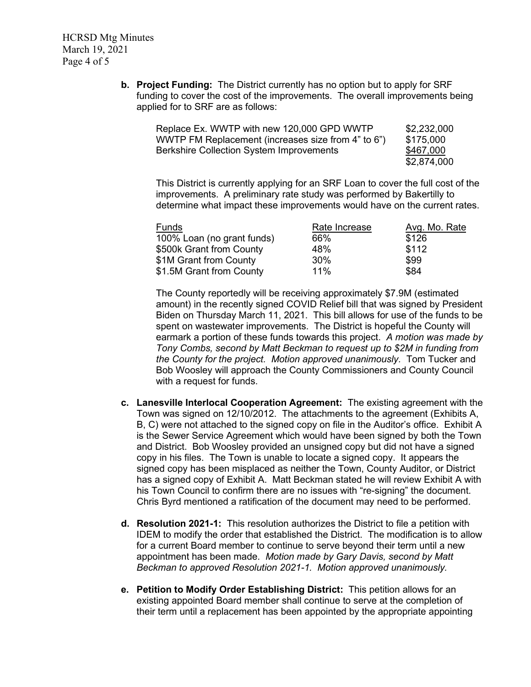HCRSD Mtg Minutes March 19, 2021 Page 4 of 5

> **b. Project Funding:** The District currently has no option but to apply for SRF funding to cover the cost of the improvements. The overall improvements being applied for to SRF are as follows:

| Replace Ex. WWTP with new 120,000 GPD WWTP         | \$2,232,000 |
|----------------------------------------------------|-------------|
| WWTP FM Replacement (increases size from 4" to 6") | \$175,000   |
| <b>Berkshire Collection System Improvements</b>    | \$467,000   |
|                                                    | \$2,874,000 |

This District is currently applying for an SRF Loan to cover the full cost of the improvements. A preliminary rate study was performed by Bakertilly to determine what impact these improvements would have on the current rates.

| Funds                      | Rate Increase | Avg. Mo. Rate |
|----------------------------|---------------|---------------|
| 100% Loan (no grant funds) | 66%           | \$126         |
| \$500k Grant from County   | 48%           | \$112         |
| \$1M Grant from County     | 30%           | \$99          |
| \$1.5M Grant from County   | 11%           | \$84          |

The County reportedly will be receiving approximately \$7.9M (estimated amount) in the recently signed COVID Relief bill that was signed by President Biden on Thursday March 11, 2021. This bill allows for use of the funds to be spent on wastewater improvements. The District is hopeful the County will earmark a portion of these funds towards this project. *A motion was made by Tony Combs, second by Matt Beckman to request up to \$2M in funding from the County for the project. Motion approved unanimously.* Tom Tucker and Bob Woosley will approach the County Commissioners and County Council with a request for funds.

- **c. Lanesville Interlocal Cooperation Agreement:** The existing agreement with the Town was signed on 12/10/2012. The attachments to the agreement (Exhibits A, B, C) were not attached to the signed copy on file in the Auditor's office. Exhibit A is the Sewer Service Agreement which would have been signed by both the Town and District. Bob Woosley provided an unsigned copy but did not have a signed copy in his files. The Town is unable to locate a signed copy. It appears the signed copy has been misplaced as neither the Town, County Auditor, or District has a signed copy of Exhibit A. Matt Beckman stated he will review Exhibit A with his Town Council to confirm there are no issues with "re-signing" the document. Chris Byrd mentioned a ratification of the document may need to be performed.
- **d. Resolution 2021-1:** This resolution authorizes the District to file a petition with IDEM to modify the order that established the District. The modification is to allow for a current Board member to continue to serve beyond their term until a new appointment has been made. *Motion made by Gary Davis, second by Matt Beckman to approved Resolution 2021-1. Motion approved unanimously.*
- **e. Petition to Modify Order Establishing District:** This petition allows for an existing appointed Board member shall continue to serve at the completion of their term until a replacement has been appointed by the appropriate appointing